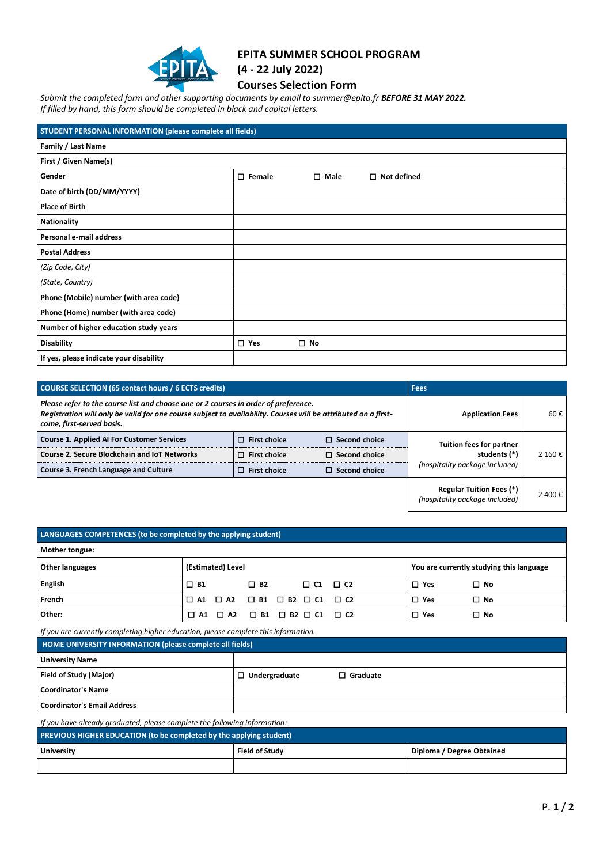

## **EPITA SUMMER SCHOOL PROGRAM**

**(4 - 22 July 2022)**

**Courses Selection Form**

*Submit the completed form and other supporting documents by email to summer@epita.fr BEFORE 31 MAY 2022.* 

*If filled by hand, this form should be completed in black and capital letters.*

| STUDENT PERSONAL INFORMATION (please complete all fields) |                  |                |                    |
|-----------------------------------------------------------|------------------|----------------|--------------------|
| Family / Last Name                                        |                  |                |                    |
| First / Given Name(s)                                     |                  |                |                    |
| Gender                                                    | $\square$ Female | $\square$ Male | $\Box$ Not defined |
| Date of birth (DD/MM/YYYY)                                |                  |                |                    |
| <b>Place of Birth</b>                                     |                  |                |                    |
| <b>Nationality</b>                                        |                  |                |                    |
| Personal e-mail address                                   |                  |                |                    |
| <b>Postal Address</b>                                     |                  |                |                    |
| (Zip Code, City)                                          |                  |                |                    |
| (State, Country)                                          |                  |                |                    |
| Phone (Mobile) number (with area code)                    |                  |                |                    |
| Phone (Home) number (with area code)                      |                  |                |                    |
| Number of higher education study years                    |                  |                |                    |
| <b>Disability</b>                                         | $\square$ Yes    | $\square$ No   |                    |
| If yes, please indicate your disability                   |                  |                |                    |

| <b>COURSE SELECTION (65 contact hours / 6 ECTS credits)</b>                                                                                                                                                                        |                     | <b>Fees</b>          |                                                                   |         |
|------------------------------------------------------------------------------------------------------------------------------------------------------------------------------------------------------------------------------------|---------------------|----------------------|-------------------------------------------------------------------|---------|
| Please refer to the course list and choose one or 2 courses in order of preference.<br>Registration will only be valid for one course subject to availability. Courses will be attributed on a first-<br>come, first-served basis. |                     |                      | <b>Application Fees</b>                                           | 60€     |
| <b>Course 1. Applied AI For Customer Services</b>                                                                                                                                                                                  | $\Box$ First choice | $\Box$ Second choice | <b>Tuition fees for partner</b>                                   |         |
| <b>Course 2. Secure Blockchain and IoT Networks</b>                                                                                                                                                                                | $\Box$ First choice | $\Box$ Second choice | students (*)                                                      | 2160€   |
| Course 3. French Language and Culture                                                                                                                                                                                              | $\Box$ First choice | $\Box$ Second choice | (hospitality package included)                                    |         |
|                                                                                                                                                                                                                                    |                     |                      | <b>Regular Tuition Fees (*)</b><br>(hospitality package included) | 2 400 € |

| LANGUAGES COMPETENCES (to be completed by the applying student) |                                                             |                                                   |                     |  |            |                                          |
|-----------------------------------------------------------------|-------------------------------------------------------------|---------------------------------------------------|---------------------|--|------------|------------------------------------------|
| Mother tongue:                                                  |                                                             |                                                   |                     |  |            |                                          |
| Other languages                                                 | (Estimated) Level                                           |                                                   |                     |  |            | You are currently studying this language |
| English                                                         | $\square$ B1                                                | $\square$ B <sub>2</sub>                          | $\Box$ C1 $\Box$ C2 |  | $\Box$ Yes | $\Box$ No                                |
| French                                                          | $\Box$ A1                                                   | $\Box$ A2 $\Box$ B1 $\Box$ B2 $\Box$ C1 $\Box$ C2 |                     |  | $\Box$ Yes | $\square$ No                             |
| Other:                                                          | $\Box$ A1 $\Box$ A2 $\Box$ B1 $\Box$ B2 $\Box$ C1 $\Box$ C2 |                                                   |                     |  | $\Box$ Yes | $\square$ No                             |

*If you are currently completing higher education, please complete this information.* **HOME UNIVERSITY INFORMATION (p** 

| <b>THOME ONLY LISH IT INFORMATION (DIEASE COMPRETE AN HEIUS)</b> |                      |                 |  |
|------------------------------------------------------------------|----------------------|-----------------|--|
| <b>University Name</b>                                           |                      |                 |  |
| Field of Study (Major)                                           | $\Box$ Undergraduate | $\Box$ Graduate |  |
| <b>Coordinator's Name</b>                                        |                      |                 |  |
| <b>Coordinator's Email Address</b>                               |                      |                 |  |

*If you have already graduated, please complete the following information:* 

| <b>PREVIOUS HIGHER EDUCATION (to be completed by the applying student)</b> |                       |                           |  |
|----------------------------------------------------------------------------|-----------------------|---------------------------|--|
| <b>University</b>                                                          | <b>Field of Study</b> | Diploma / Degree Obtained |  |
|                                                                            |                       |                           |  |